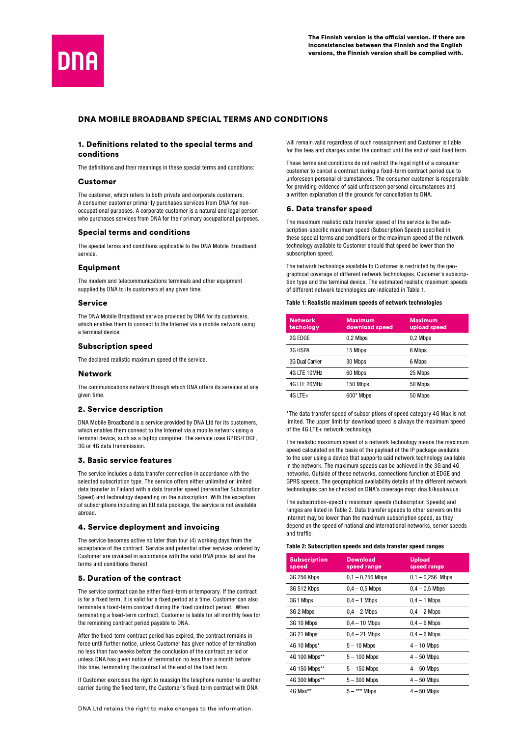

# DNA MOBILE BROADBAND SPECIAL TERMS AND CONDITIONS

# 1. Definitions related to the special terms and conditions

The definitions and their meanings in these special terms and conditions:

## Customer

The customer, which refers to both private and corporate customers. A consumer customer primarily purchases services from DNA for nonoccupational purposes. A corporate customer is a natural and legal person who purchases services from DNA for their primary occupational purposes.

#### Special terms and conditions

The special terms and conditions applicable to the DNA Mobile Broadband service.

### Equipment

The modem and telecommunications terminals and other equipment supplied by DNA to its customers at any given time.

## Service

The DNA Mobile Broadband service provided by DNA for its customers, which enables them to connect to the Internet via a mobile network using a terminal device.

### Subscription speed

The declared realistic maximum speed of the service.

#### Network

The communications network through which DNA offers its services at any given time.

### 2. Service description

DNA Mobile Broadband is a service provided by DNA Ltd for its customers, which enables them connect to the Internet via a mobile network using a terminal device, such as a laptop computer. The service uses GPRS/EDGE, 3G or 4G data transmission.

# 3. Basic service features

The service includes a data transfer connection in accordance with the selected subscription type. The service offers either unlimited or limited data transfer in Finland with a data transfer speed (hereinafter Subscription Speed) and technology depending on the subscription. With the exception of subscriptions including an EU data package, the service is not available abroad.

### 4. Service deployment and invoicing

The service becomes active no later than four (4) working days from the acceptance of the contract. Service and potential other services ordered by Customer are invoiced in accordance with the valid DNA price list and the terms and conditions thereof

## 5. Duration of the contract

The service contract can be either fixed-term or temporary. If the contract is for a fixed term, it is valid for a fixed period at a time. Customer can also terminate a fixed-term contract during the fixed contract period. When terminating a fixed-term contract, Customer is liable for all monthly fees for the remaining contract period payable to DNA.

After the fixed-term contract period has expired, the contract remains in force until further notice, unless Customer has given notice of termination no less than two weeks before the conclusion of the contract period or unless DNA has given notice of termination no less than a month before this time, terminating the contract at the end of the fixed term.

If Customer exercises the right to reassign the telephone number to another carrier during the fixed term, the Customer's fixed-term contract with DNA

DNA Ltd retains the right to make changes to the information.

will remain valid regardless of such reassignment and Customer is liable for the fees and charges under the contract until the end of said fixed term.

These terms and conditions do not restrict the legal right of a consumer customer to cancel a contract during a fixed-term contract period due to unforeseen personal circumstances. The consumer customer is responsible for providing evidence of said unforeseen personal circumstances and a written explanation of the grounds for cancellation to DNA.

### 6. Data transfer speed

The maximum realistic data transfer speed of the service is the subscription-specific maximum speed (Subscription Speed) specified in these special terms and conditions or the maximum speed of the network technology available to Customer should that speed be lower than the subscription speed.

The network technology available to Customer is restricted by the geographical coverage of different network technologies, Customer's subscription type and the terminal device. The estimated realistic maximum speeds of different network technologies are indicated in Table 1.

## Table 1: Realistic maximum speeds of network technologies

| <b>Network</b><br>techology | <b>Maximum</b><br>download speed | <b>Maximum</b><br>upload speed |
|-----------------------------|----------------------------------|--------------------------------|
| 2G EDGE                     | 0.2 Mbps                         | 0,2 Mbps                       |
| 3G HSPA                     | 15 Mbps                          | 6 Mbps                         |
| 3G Dual Carrier             | 30 Mbps                          | 6 Mbps                         |
| 4G LTE 10MHz                | 60 Mbps                          | 25 Mbps                        |
| 4G LTE 20MHz                | 150 Mbps                         | 50 Mbps                        |
| $4G$ LTE+                   | $600*$ Mbps                      | 50 Mbps                        |

\*The data transfer speed of subscriptions of speed category 4G Max is not limited. The upper limit for download speed is always the maximum speed of the 4G LTE+ network technology.

The realistic maximum speed of a network technology means the maximum speed calculated on the basis of the payload of the IP package available to the user using a device that supports said network technology available in the network. The maximum speeds can be achieved in the 3G and 4G networks. Outside of these networks, connections function at EDGE and GPRS speeds. The geographical availability details of the different network technologies can be checked on DNA's coverage map: dna.fi/kuuluvuus.

The subscription-specific maximum speeds (Subscription Speeds) and ranges are listed in Table 2. Data transfer speeds to other servers on the Internet may be lower than the maximum subscription speed, as they depend on the speed of national and international networks, server speeds and traffic.

#### Table 2: Subscription speeds and data transfer speed ranges

| <b>Subscription</b><br>speed | <b>Download</b><br>speed range | <b>Upload</b><br>speed range |
|------------------------------|--------------------------------|------------------------------|
| 3G 256 Kbps                  | $0.1 - 0.256$ Mbps             | $0.1 - 0.256$ Mbps           |
| 3G 512 Kbps                  | $0.4 - 0.5$ Mbps               | $0.4 - 0.5$ Mbps             |
| 3G 1 Mbps                    | $0.4 - 1$ Mbps                 | $0.4 - 1$ Mbps               |
| 3G 2 Mbps                    | $0.4 - 2$ Mbps                 | $0.4 - 2$ Mbps               |
| 3G 10 Mbps                   | $0.4 - 10$ Mbps                | $0.4 - 6$ Mbps               |
| 3G 21 Mbps                   | $0.4 - 21$ Mbps                | $0.4 - 6$ Mbps               |
| 4G 10 Mbps*                  | $5 - 10$ Mbps                  | $4 - 10$ Mbps                |
| 4G 100 Mbps**                | $5 - 100$ Mbps                 | $4 - 50$ Mbps                |
| 4G 150 Mbps**                | $5 - 150$ Mbps                 | $4 - 50$ Mbps                |
| 4G 300 Mbps**                | $5 - 300$ Mbps                 | $4 - 50$ Mbps                |
| 4G Max**                     | $5 -$ *** Mbps                 | $4 - 50$ Mbps                |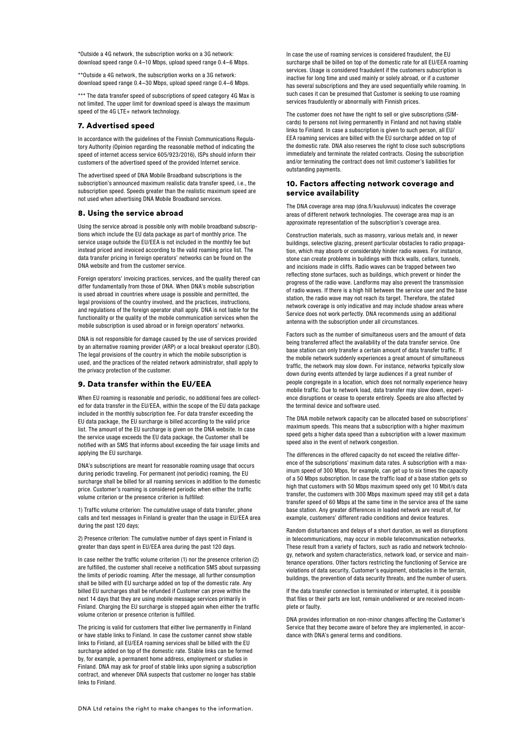\*Outside a 4G network, the subscription works on a 3G network: download speed range 0.4–10 Mbps, upload speed range 0.4–6 Mbps.

\*\*Outside a 4G network, the subscription works on a 3G network: download speed range 0.4–30 Mbps, upload speed range 0.4–6 Mbps.

\*\*\* The data transfer speed of subscriptions of speed category 4G Max is not limited. The upper limit for download speed is always the maximum speed of the 4G LTE+ network technology.

# 7. Advertised speed

In accordance with the guidelines of the Finnish Communications Regulatory Authority (Opinion regarding the reasonable method of indicating the speed of internet access service 605/923/2016), ISPs should inform their customers of the advertised speed of the provided Internet service.

The advertised speed of DNA Mobile Broadband subscriptions is the subscription's announced maximum realistic data transfer speed, i.e., the subscription speed. Speeds greater than the realistic maximum speed are not used when advertising DNA Mobile Broadband services.

### 8. Using the service abroad

Using the service abroad is possible only with mobile broadband subscriptions which include the EU data package as part of monthly price. The service usage outside the EU/EEA is not included in the monthly fee but instead priced and invoiced according to the valid roaming price list. The data transfer pricing in foreign operators' networks can be found on the DNA website and from the customer service.

Foreign operators' invoicing practices, services, and the quality thereof can differ fundamentally from those of DNA. When DNA's mobile subscription is used abroad in countries where usage is possible and permitted, the legal provisions of the country involved, and the practices, instructions, and regulations of the foreign operator shall apply. DNA is not liable for the functionality or the quality of the mobile communication services when the mobile subscription is used abroad or in foreign operators' networks.

DNA is not responsible for damage caused by the use of services provided by an alternative roaming provider (ARP) or a local breakout operator (LBO). The legal provisions of the country in which the mobile subscription is used, and the practices of the related network administrator, shall apply to the privacy protection of the customer.

### 9. Data transfer within the EU/EEA

When EU roaming is reasonable and periodic, no additional fees are collected for data transfer in the EU/EEA, within the scope of the EU data package included in the monthly subscription fee. For data transfer exceeding the EU data package, the EU surcharge is billed according to the valid price list. The amount of the EU surcharge is given on the DNA website. In case the service usage exceeds the EU data package, the Customer shall be notified with an SMS that informs about exceeding the fair usage limits and applying the EU surcharge.

DNA's subscriptions are meant for reasonable roaming usage that occurs during periodic traveling. For permanent (not periodic) roaming, the EU surcharge shall be billed for all roaming services in addition to the domestic price. Customer's roaming is considered periodic when either the traffic volume criterion or the presence criterion is fulfilled:

1) Traffic volume criterion: The cumulative usage of data transfer, phone calls and text messages in Finland is greater than the usage in EU/EEA area during the past 120 days;

2) Presence criterion: The cumulative number of days spent in Finland is greater than days spent in EU/EEA area during the past 120 days.

In case neither the traffic volume criterion (1) nor the presence criterion (2) are fulfilled, the customer shall receive a notification SMS about surpassing the limits of periodic roaming. After the message, all further consumption shall be billed with EU surcharge added on top of the domestic rate. Any billed EU surcharges shall be refunded if Customer can prove within the next 14 days that they are using mobile message services primarily in Finland. Charging the EU surcharge is stopped again when either the traffic volume criterion or presence criterion is fulfilled.

The pricing is valid for customers that either live permanently in Finland or have stable links to Finland. In case the customer cannot show stable links to Finland, all EU/EEA roaming services shall be billed with the EU surcharge added on top of the domestic rate. Stable links can be formed by, for example, a permanent home address, employment or studies in Finland. DNA may ask for proof of stable links upon signing a subscription contract, and whenever DNA suspects that customer no longer has stable links to Finland.

In case the use of roaming services is considered fraudulent, the EU surcharge shall be billed on top of the domestic rate for all EU/EEA roaming services. Usage is considered fraudulent if the customers subscription is inactive for long time and used mainly or solely abroad, or if a customer has several subscriptions and they are used sequentially while roaming. In such cases it can be presumed that Customer is seeking to use roaming services fraudulently or abnormally with Finnish prices.

The customer does not have the right to sell or give subscriptions (SIMcards) to persons not living permanently in Finland and not having stable links to Finland. In case a subscription is given to such person, all EU/ EEA roaming services are billed with the EU surcharge added on top of the domestic rate. DNA also reserves the right to close such subscriptions immediately and terminate the related contracts. Closing the subscription and/or terminating the contract does not limit customer's liabilities for outstanding payments.

# 10. Factors affecting network coverage and service availability

The DNA coverage area map (dna.fi/kuuluvuus) indicates the coverage areas of different network technologies. The coverage area map is an approximate representation of the subscription's coverage area.

Construction materials, such as masonry, various metals and, in newer buildings, selective glazing, present particular obstacles to radio propagation, which may absorb or considerably hinder radio waves. For instance, stone can create problems in buildings with thick walls, cellars, tunnels, and incisions made in cliffs. Radio waves can be trapped between two reflecting stone surfaces, such as buildings, which prevent or hinder the progress of the radio wave. Landforms may also prevent the transmission of radio waves. If there is a high hill between the service user and the base station, the radio wave may not reach its target. Therefore, the stated network coverage is only indicative and may include shadow areas where Service does not work perfectly. DNA recommends using an additional antenna with the subscription under all circumstances.

Factors such as the number of simultaneous users and the amount of data being transferred affect the availability of the data transfer service. One base station can only transfer a certain amount of data transfer traffic. If the mobile network suddenly experiences a great amount of simultaneous traffic, the network may slow down. For instance, networks typically slow down during events attended by large audiences if a great number of people congregate in a location, which does not normally experience heavy mobile traffic. Due to network load, data transfer may slow down, experience disruptions or cease to operate entirely. Speeds are also affected by the terminal device and software used.

The DNA mobile network capacity can be allocated based on subscriptions' maximum speeds. This means that a subscription with a higher maximum speed gets a higher data speed than a subscription with a lower maximum speed also in the event of network congestion.

The differences in the offered capacity do not exceed the relative difference of the subscriptions' maximum data rates. A subscription with a maximum speed of 300 Mbps, for example, can get up to six times the capacity of a 50 Mbps subscription. In case the traffic load of a base station gets so high that customers with 50 Mbps maximum speed only get 10 Mbit/s data transfer, the customers with 300 Mbps maximum speed may still get a data transfer speed of 60 Mbps at the same time in the service area of the same base station. Any greater differences in loaded network are result of, for example, customers' different radio conditions and device features.

Random disturbances and delays of a short duration, as well as disruptions in telecommunications, may occur in mobile telecommunication networks. These result from a variety of factors, such as radio and network technology, network and system characteristics, network load, or service and maintenance operations. Other factors restricting the functioning of Service are violations of data security, Customer's equipment, obstacles in the terrain, buildings, the prevention of data security threats, and the number of users.

If the data transfer connection is terminated or interrupted, it is possible that files or their parts are lost, remain undelivered or are received incomplete or faulty.

DNA provides information on non-minor changes affecting the Customer's Service that they become aware of before they are implemented, in accordance with DNA's general terms and conditions.